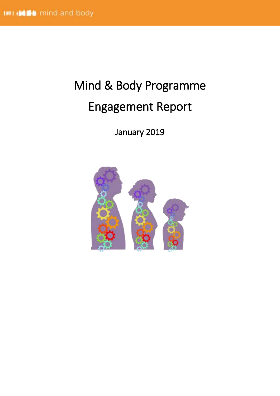# Mind & Body Programme Engagement Report

January 2019

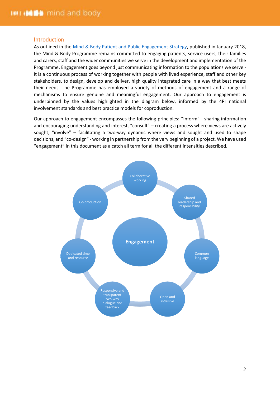# Introduction

As outlined in the [Mind & Body Patient and Public Engagement Strategy,](https://www.kingshealthpartners.org/assets/000/001/745/Mind_and_Body_Programme_Patient_and_Public_Engagement_Strategy_Dec2017_original.pdf?1516115077) published in January 2018, the Mind & Body Programme remains committed to engaging patients, service users, their families and carers, staff and the wider communities we serve in the development and implementation of the Programme. Engagement goes beyond just communicating information to the populations we serve it is a continuous process of working together with people with lived experience, staff and other key stakeholders, to design, develop and deliver, high quality integrated care in a way that best meets their needs. The Programme has employed a variety of methods of engagement and a range of mechanisms to ensure genuine and meaningful engagement. Our approach to engagement is underpinned by the values highlighted in the diagram below, informed by the 4PI national involvement standards and best practice models for coproduction.

Our approach to engagement encompasses the following principles: "Inform" - sharing information and encouraging understanding and interest, "consult" – creating a process where views are actively sought, "involve" – facilitating a two-way dynamic where views and sought and used to shape decisions, and "co-design" - working in partnership from the very beginning of a project. We have used "engagement" in this document as a catch all term for all the different intensities described.

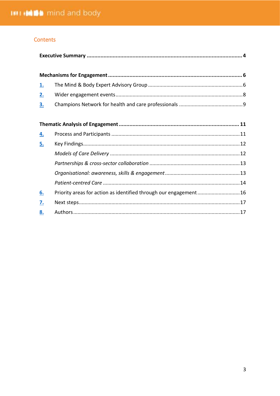# Contents

 $8.$ 

| <u>1.</u> |                                                                  |  |  |  |  |
|-----------|------------------------------------------------------------------|--|--|--|--|
| <u>2.</u> |                                                                  |  |  |  |  |
| <u>3.</u> |                                                                  |  |  |  |  |
|           |                                                                  |  |  |  |  |
|           |                                                                  |  |  |  |  |
| <u>4.</u> |                                                                  |  |  |  |  |
| <u>5.</u> |                                                                  |  |  |  |  |
|           |                                                                  |  |  |  |  |
|           |                                                                  |  |  |  |  |
|           |                                                                  |  |  |  |  |
|           |                                                                  |  |  |  |  |
| 6.        | Priority areas for action as identified through our engagement16 |  |  |  |  |
| 7.        |                                                                  |  |  |  |  |

 $\overline{3}$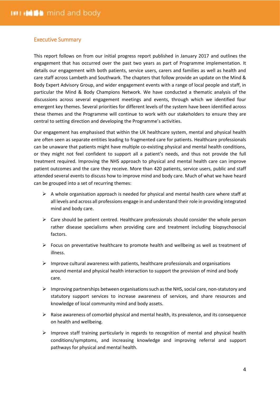# <span id="page-3-0"></span>Executive Summary

This report follows on from our initial progress report published in January 2017 and outlines the engagement that has occurred over the past two years as part of Programme implementation. It details our engagement with both patients, service users, carers and families as well as health and care staff across Lambeth and Southwark. The chapters that follow provide an update on the Mind & Body Expert Advisory Group, and wider engagement events with a range of local people and staff, in particular the Mind & Body Champions Network. We have conducted a thematic analysis of the discussions across several engagement meetings and events, through which we identified four emergent key themes. Several priorities for different levels of the system have been identified across these themes and the Programme will continue to work with our stakeholders to ensure they are central to setting direction and developing the Programme's activities.

Our engagement has emphasised that within the UK healthcare system, mental and physical health are often seen as separate entities leading to fragmented care for patients. Healthcare professionals can be unaware that patients might have multiple co-existing physical and mental health conditions, or they might not feel confident to support all a patient's needs, and thus not provide the full treatment required. Improving the NHS approach to physical and mental health care can improve patient outcomes and the care they receive. More than 420 patients, service users, public and staff attended several events to discuss how to improve mind and body care. Much of what we have heard can be grouped into a set of recurring themes:

- $\triangleright$  A whole organisation approach is needed for physical and mental health care where staff at all levels and across all professions engage in and understand their role in providing integrated mind and body care.
- $\triangleright$  Care should be patient centred. Healthcare professionals should consider the whole person rather disease specialisms when providing care and treatment including biopsychosocial factors.
- $\triangleright$  Focus on preventative healthcare to promote health and wellbeing as well as treatment of illness.
- $\triangleright$  Improve cultural awareness with patients, healthcare professionals and organisations around mental and physical health interaction to support the provision of mind and body care.
- $\triangleright$  Improving partnerships between organisations such as the NHS, social care, non-statutory and statutory support services to increase awareness of services, and share resources and knowledge of local community mind and body assets.
- $\triangleright$  Raise awareness of comorbid physical and mental health, its prevalence, and its consequence on health and wellbeing.
- ➢ Improve staff training particularly in regards to recognition of mental and physical health conditions/symptoms, and increasing knowledge and improving referral and support pathways for physical and mental health.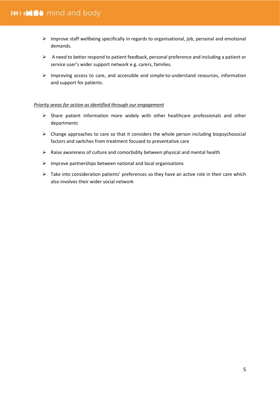- ➢ Improve staff wellbeing specifically in regards to organisational, job, personal and emotional demands.
- $\triangleright$  A need to better respond to patient feedback, personal preference and including a patient or service user's wider support network e.g. carers, families.
- ➢ Improving access to care, and accessible and simple-to-understand resources, information and support for patients.

# *Priority areas for action as identified through our engagement*

- ➢ Share patient information more widely with other healthcare professionals and other departments
- $\triangleright$  Change approaches to care so that it considers the whole person including biopsychosocial factors and switches from treatment focused to preventative care
- $\triangleright$  Raise awareness of culture and comorbidity between physical and mental health
- $\triangleright$  Improve partnerships between national and local organisations
- $\triangleright$  Take into consideration patients' preferences so they have an active role in their care which also involves their wider social network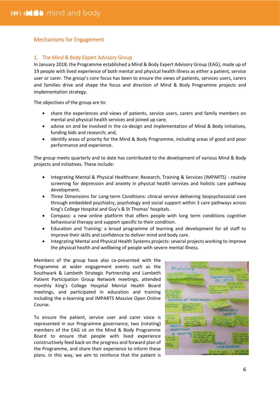# <span id="page-5-0"></span>Mechanisms for Engagement

# <span id="page-5-1"></span>1. The Mind & Body Expert Advisory Group

In January 2018, the Programme established a Mind & Body Expert Advisory Group (EAG), made up of 19 people with lived experience of both mental and physical health illness as either a patient, service user or carer. The group's core focus has been to ensure the views of patients, services users, carers and families drive and shape the focus and direction of Mind & Body Programme projects and implementation strategy.

The objectives of the group are to:

- share the experiences and views of patients, service users, carers and family members on mental and physical health services and joined up care;
- advise on and be involved in the co-design and implementation of Mind & Body initiatives, funding bids and research; and,
- identify areas of priority for the Mind & Body Programme, including areas of good and poor performance and experience.

The group meets quarterly and to date has contributed to the development of various Mind & Body projects and initiatives. These include:

- Integrating Mental & Physical Healthcare: Research, Training & Services (IMPARTS) routine screening for depression and anxiety in physical health services and holistic care pathway development.
- Three Dimensions for Long-term Conditions: clinical service delivering biopsychosocial care through embedded psychiatry, psychology and social support within 3 care pathways across King's College Hospital and Guy's & St Thomas' hospitals.
- Compass: a new online platform that offers people with long term conditions cognitive behavioural therapy and support specific to their condition.
- Education and Training: a broad programme of learning and development for all staff to improve their skills and confidence to deliver mind and body care.
- Integrating Mental and Physical Health Systems projects: several projects working to improve the physical health and wellbeing of people with severe mental illness.

Members of the group have also co-presented with the Programme at wider engagement events such as the Southwark & Lambeth Strategic Partnership and Lambeth Patient Participation Group Network meetings, attended monthly King's College Hospital Mental Health Board meetings, and participated in education and training including the e-learning and IMPARTS Massive Open Online Course.

To ensure the patient, service user and carer voice is represented in our Programme governance, two (rotating) members of the EAG sit on the Mind & Body Programme Board to ensure that people with lived experience constructively feed back on the progress and forward plan of the Programme, and share their experience to inform these plans. In this way, we aim to reinforce that the patient is

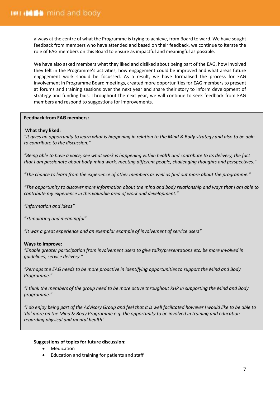always at the centre of what the Programme is trying to achieve, from Board to ward. We have sought feedback from members who have attended and based on their feedback, we continue to iterate the role of EAG members on this Board to ensure as impactful and meaningful as possible.

We have also asked members what they liked and disliked about being part of the EAG, how involved they felt in the Programme's activities, how engagement could be improved and what areas future engagement work should be focussed. As a result, we have formalised the process for EAG involvement in Programme Board meetings, created more opportunities for EAG members to present at forums and training sessions over the next year and share their story to inform development of strategy and funding bids. Throughout the next year, we will continue to seek feedback from EAG members and respond to suggestions for improvements.

# **Feedback from EAG members:**

# **What they liked:**

*"It gives an opportunity to learn what is happening in relation to the Mind & Body strategy and also to be able to contribute to the discussion."*

*"Being able to have a voice, see what work is happening within health and contribute to its delivery, the fact that I am passionate about body-mind work, meeting different people, challenging thoughts and perspectives."*

*"The chance to learn from the experience of other members as well as find out more about the programme."*

*"The opportunity to discover more information about the mind and body relationship and ways that I am able to contribute my experience in this valuable area of work and development."*

*"Information and ideas"*

*"Stimulating and meaningful"*

*"It was a great experience and an exemplar example of involvement of service users"*

# **Ways to Improve:**

*"Enable greater participation from involvement users to give talks/presentations etc, be more involved in guidelines, service delivery."*

*"Perhaps the EAG needs to be more proactive in identifying opportunities to support the Mind and Body Programme."*

*"I think the members of the group need to be more active throughout KHP in supporting the Mind and Body programme."*

*"I do enjoy being part of the Advisory Group and feel that it is well facilitated however I would like to be able to 'do' more on the Mind & Body Programme e.g. the opportunity to be involved in training and education regarding physical and mental health"*

# **Suggestions of topics for future discussion:**

- **Medication**
- Education and training for patients and staff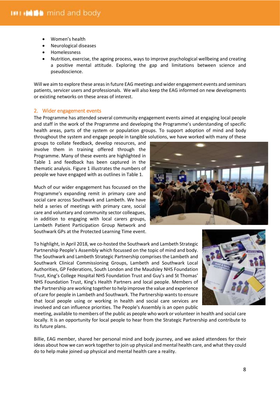- Women's health
- Neurological diseases
- Homelessness
- Nutrition, exercise, the ageing process, ways to improve psychological wellbeing and creating a positive mental attitude. Exploring the gap and limitations between science and pseudoscience.

Will we aim to explore these areas in future EAG meetings and wider engagement events and seminars patients, servicer users and professionals. We will also keep the EAG informed on new developments or existing networks on these areas of interest.

# <span id="page-7-0"></span>2. Wider engagement events

The Programme has attended several community engagement events aimed at engaging local people and staff in the work of the Programme and developing the Programme's understanding of specific health areas, parts of the system or population groups. To support adoption of mind and body throughout the system and engage people in tangible solutions, we have worked with many of these

groups to collate feedback, develop resources, and involve them in training offered through the Programme. Many of these events are highlighted in Table 1 and feedback has been captured in the thematic analysis. Figure 1 illustrates the numbers of people we have engaged with as outlines in Table 1.

Much of our wider engagement has focussed on the Programme's expanding remit in primary care and social care across Southwark and Lambeth. We have held a series of meetings with primary care, social care and voluntary and community sector colleagues, in addition to engaging with local carers groups, Lambeth Patient Participation Group Network and Southwark GPs at the Protected Learning Time event.



To highlight, in April 2018, we co-hosted the Southwark and Lambeth Strategic Partnership People's Assembly which focussed on the topic of mind and body. The Southwark and Lambeth Strategic Partnership comprises the Lambeth and Southwark Clinical Commissioning Groups, Lambeth and Southwark Local Authorities, GP Federations, South London and the Maudsley NHS Foundation Trust, King's College Hospital NHS Foundation Trust and Guy's and St Thomas' NHS Foundation Trust, King's Health Partners and local people. Members of the Partnership are working together to help improve the value and experience of care for people in Lambeth and Southwark. The Partnership wants to ensure that local people using or working in health and social care services are involved and can influence priorities. The People's Assembly is an open public



meeting, available to members of the public as people who work or volunteer in health and social care locally. It is an opportunity for local people to hear from the Strategic Partnership and contribute to its future plans.

Billie, EAG member, shared her personal mind and body journey, and we asked attendees for their ideas about how we can work together to join up physical and mental health care, and what they could do to help make joined up physical and mental health care a reality.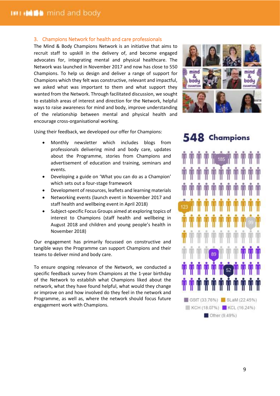# <span id="page-8-0"></span>3. Champions Network for health and care professionals

The Mind & Body Champions Network is an initiative that aims to recruit staff to upskill in the delivery of, and become engaged advocates for, integrating mental and physical healthcare. The Network was launched in November 2017 and now has close to 550 Champions. To help us design and deliver a range of support for Champions which they felt was constructive, relevant and impactful, we asked what was important to them and what support they wanted from the Network. Through facilitated discussion, we sought to establish areas of interest and direction for the Network, helpful ways to raise awareness for mind and body, improve understanding of the relationship between mental and physical health and encourage cross-organisational working.



Using their feedback, we developed our offer for Champions:

- Monthly newsletter which includes blogs from professionals delivering mind and body care, updates about the Programme, stories from Champions and advertisement of education and training, seminars and events.
- Developing a guide on 'What you can do as a Champion' which sets out a four-stage framework
- Development of resources, leaflets and learning materials
- Networking events (launch event in November 2017 and staff health and wellbeing event in April 2018)
- Subject-specific Focus Groups aimed at exploring topics of interest to Champions (staff health and wellbeing in August 2018 and children and young people's health in November 2018)

Our engagement has primarily focussed on constructive and tangible ways the Programme can support Champions and their teams to deliver mind and body care.

To ensure ongoing relevance of the Network, we conducted a specific feedback survey from Champions at the 1-year birthday of the Network to establish what Champions liked about the network, what they have found helpful, what would they change or improve on and how involved do they feel in the network and Programme, as well as, where the network should focus future engagement work with Champions.

# 548 Champions

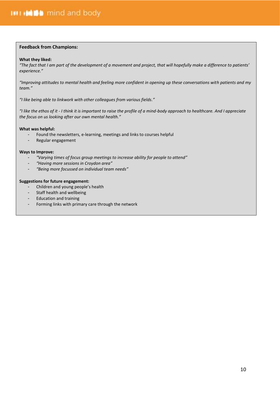#### <span id="page-9-0"></span>**Feedback from Champions:**

#### **What they liked:**

*"The fact that I am part of the development of a movement and project, that will hopefully make a difference to patients' experience."*

*"Improving attitudes to mental health and feeling more confident in opening up these conversations with patients and my team."*

*"I like being able to linkwork with other colleagues from various fields."*

*"I like the ethos of it - I think it is important to raise the profile of a mind-body approach to healthcare. And I appreciate the focus on us looking after our own mental health."*

#### **What was helpful:**

- Found the newsletters, e-learning, meetings and links to courses helpful
- Regular engagement

#### **Ways to Improve:**

- *"Varying times of focus group meetings to increase ability for people to attend"*
- *"Having more sessions in Croydon area"*
- *"Being more focussed on individual team needs"*

#### **Suggestions for future engagement:**

- Children and young people's health
- Staff health and wellbeing
- Education and training
- Forming links with primary care through the network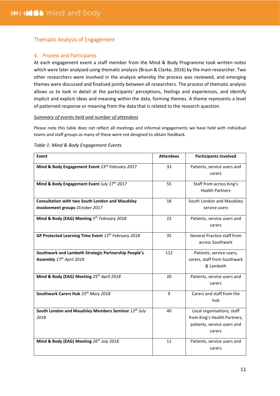# Thematic Analysis of Engagement

# <span id="page-10-0"></span>4. Process and Participants

At each engagement event a staff member from the Mind & Body Programme took written notes which were later analysed using thematic analysis (Braun & Clarke, 2016) by the main researcher. Two other researchers were involved in the analysis whereby the process was reviewed, and emerging themes were discussed and finalised jointly between all researchers. The process of thematic analysis allows us to look in detail at the participants' perceptions, feelings and experiences, and identify implicit and explicit ideas and meaning within the data, forming themes. A theme represents a level of patterned response or meaning from the data that is related to the research question.

# *Summary of events held and number of attendees*

Please note this table does not reflect all meetings and informal engagements we have held with individual teams and staff groups as many of these were not designed to obtain feedback.

| Event                                                                                     | <b>Attendees</b> | <b>Participants involved</b>                                                                        |
|-------------------------------------------------------------------------------------------|------------------|-----------------------------------------------------------------------------------------------------|
| Mind & Body Engagement Event 23rd February 2017                                           | 33               | Patients, service users and<br>carers                                                               |
| Mind & Body Engagement Event July 17th 2017                                               | 55               | Staff from across King's<br><b>Health Partners</b>                                                  |
| <b>Consultation with two South London and Maudsley</b><br>involvement groups October 2017 | 18               | South London and Maudsley<br>service users                                                          |
| Mind & Body (EAG) Meeting 5th February 2018                                               | 22               | Patients, service users and<br>carers                                                               |
| GP Protected Learning Time Event 15 <sup>th</sup> February 2018                           | 35               | <b>General Practice staff from</b><br>across Southwark                                              |
| Southwark and Lambeth Strategic Partnership People's<br>Assembly 17th April 2018          | 112              | Patients, service users,<br>carers, staff from Southwark<br>& Lambeth                               |
| Mind & Body (EAG) Meeting 25th April 2018                                                 | 20               | Patients, service users and<br>carers                                                               |
| Southwark Carers Hub 25th Mary 2018                                                       | 9                | Carers and staff from the<br>hub                                                                    |
| South London and Maudsley Members Seminar 12th July<br>2018                               | 40               | Local organisations, staff<br>from King's Health Partners,<br>patients, service users and<br>carers |
| Mind & Body (EAG) Meeting 26th July 2018                                                  | 11               | Patients, service users and<br>carers                                                               |

#### *Table 1: Mind & Body Engagement Events*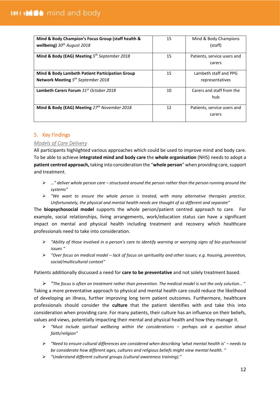| Mind & Body Champion's Focus Group (staff health &<br>wellbeing) $30th$ August 2018                | 15 | Mind & Body Champions<br>(staff)         |
|----------------------------------------------------------------------------------------------------|----|------------------------------------------|
| Mind & Body (EAG) Meeting $5th September 2018$                                                     | 15 | Patients, service users and<br>carers    |
| <b>Mind &amp; Body Lambeth Patient Participation Group</b><br>Network Meeting $5th September 2018$ | 15 | Lambeth staff and PPG<br>representatives |
| Lambeth Carers Forum 31st October 2018                                                             | 10 | Carers and staff from the<br>hub         |
| Mind & Body (EAG) Meeting 27th November 2018                                                       | 12 | Patients, service users and<br>carers    |

# <span id="page-11-0"></span>5. Key Findings

# <span id="page-11-1"></span>*Models of Care Delivery*

All participants highlighted various approaches which could be used to improve mind and body care. To be able to achieve **integrated mind and body care** the **whole organisation** (NHS) needs to adopt a **patient centred approach,** taking into consideration the "**whole person**" when providing care, support and treatment.

- ➢ *…" deliver whole person care – structured around the person rather than the person running around the systems"*
- ➢ *"We want to ensure the whole person is treated, with many alternative therapies practice. Unfortunately, the physical and mental health needs are thought of as different and separate"*

The **biopsychosocial model** supports the whole person/patient centred approach to care. For example, social relationships, living arrangements, work/education status can have a significant impact on mental and physical health including treatment and recovery which healthcare professionals need to take into consideration.

- ➢ *"Ability of those involved in a person's care to identify warning or worrying signs of bio-psychosocial issues "*
- ➢ *"Over focus on medical model – lack of focus on spirituality and other issues; e.g. housing, prevention, social/multicultural context"*

Patients additionally discussed a need for **care to be preventative** and not solely treatment based.

➢ *"The focus is often on treatment rather than prevention. The medical model is not the only solution…* " Taking a more preventative approach to physical and mental health care could reduce the likelihood of developing an illness, further improving long term patient outcomes. Furthermore, healthcare professionals should consider the **culture** that the patient identifies with and take this into consideration when providing care. For many patients, their culture has an influence on their beliefs, values and views, potentially impacting their mental and physical health and how they manage it.

- ➢ *"Must include spiritual wellbeing within the considerations – perhaps ask a question about faith/religion"*
- ➢ *"Need to ensure cultural differences are considered when describing 'what mental health is' – needs to be considerate how different ages, cultures and religious beliefs might view mental health. "*
- ➢ *"Understand different cultural groups (cultural awareness training)."*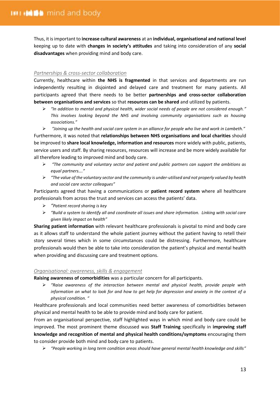Thus, it is important to **increase cultural awareness** at an **individual, organisational and national level** keeping up to date with **changes in society's attitudes** and taking into consideration of any **social disadvantages** when providing mind and body care.

# <span id="page-12-0"></span>*Partnerships & cross-sector collaboration*

Currently, healthcare within **the NHS is fragmented** in that services and departments are run independently resulting in disjointed and delayed care and treatment for many patients. All participants agreed that there needs to be better **partnerships and cross-sector collaboration between organisations and services** so that **resources can be shared** and utilized by patients.

➢ *"In addition to mental and physical health, wider social needs of people are not considered enough." This involves looking beyond the NHS and involving community organisations such as housing associations."*

➢ *"Joining up the health and social care system in an alliance for people who live and work in Lambeth."* Furthermore, it was noted that **relationships between NHS organisations and local charities** should be improved to **share local knowledge, information and resources** more widely with public, patients, service users and staff. By sharing resources, resources will increase and be more widely available for all therefore leading to improved mind and body care.

- ➢ *"The community and voluntary sector and patient and public partners can support the ambitions as equal partners…."*
- ➢ *"The value of the voluntary sector and the community is under-utilised and not properly valued by health and social care sector colleagues"*

Participants agreed that having a communications or **patient record system** where all healthcare professionals from across the trust and services can access the patients' data.

- ➢ *"Patient record sharing is key*
- ➢ *"Build a system to identify all and coordinate all issues and share information. Linking with social care given likely impact on health"*

**Sharing patient information** with relevant healthcare professionals is pivotal to mind and body care as it allows staff to understand the whole patient journey without the patient having to retell their story several times which in some circumstances could be distressing. Furthermore, healthcare professionals would then be able to take into consideration the patient's physical and mental health when providing and discussing care and treatment options.

# <span id="page-12-1"></span>*Organisational: awareness, skills & engagement*

**Raising awareness of comorbidities** was a particular concern for all participants.

➢ *"Raise awareness of the interaction between mental and physical health, provide people with information on what to look for and how to get help for depression and anxiety in the context of a physical condition. "*

Healthcare professionals and local communities need better awareness of comorbidities between physical and mental health to be able to provide mind and body care for patient.

From an organisational perspective, staff highlighted ways in which mind and body care could be improved. The most prominent theme discussed was **Staff Training** specifically in **improving staff knowledge and recognition of mental and physical health conditions/symptoms** encouraging them to consider provide both mind and body care to patients.

➢ *"People working in long term condition areas should have general mental health knowledge and skills"*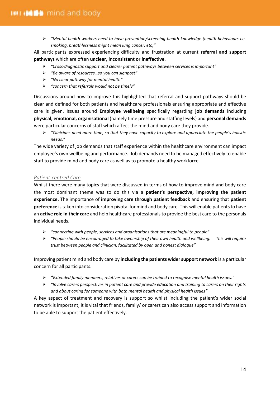➢ *"Mental health workers need to have prevention/screening health knowledge (health behaviours i.e. smoking, breathlessness might mean lung cancer, etc)"*

All participants expressed experiencing difficulty and frustration at current **referral and support pathways** which are often **unclear, inconsistent or ineffective**.

- ➢ *"Cross-diagnostic support and clearer patient pathways between services is important"*
- ➢ *"Be aware of resources…so you can signpost"*
- ➢ *"No clear pathway for mental health"*
- ➢ *"concern that referrals would not be timely"*

Discussions around how to improve this highlighted that referral and support pathways should be clear and defined for both patients and healthcare professionals ensuring appropriate and effective care is given. Issues around **Employee wellbeing** specifically regarding **job demands** including **physical, emotional, organisational** (namely time pressure and staffing levels) and **personal demands** were particular concerns of staff which affect the mind and body care they provide.

➢ *"Clinicians need more time, so that they have capacity to explore and appreciate the people's holistic needs."*

The wide variety of job demands that staff experience within the healthcare environment can impact employee's own wellbeing and performance. Job demands need to be managed effectively to enable staff to provide mind and body care as well as to promote a healthy workforce.

# <span id="page-13-0"></span>*Patient-centred Care*

Whilst there were many topics that were discussed in terms of how to improve mind and body care the most dominant theme was to do this via a **patient's perspective, improving the patient experience.** The importance of **improving care through patient feedback** and ensuring that **patient preference** is taken into consideration pivotal for mind and body care. This will enable patients to have an **active role in their care** and help healthcare professionals to provide the best care to the personals individual needs.

- ➢ *"connecting with people, services and organisations that are meaningful to people"*
- ➢ *"People should be encouraged to take ownership of their own health and wellbeing. … This will require trust between people and clinician, facilitated by open and honest dialogue"*

Improving patient mind and body care by **including the patients wider support network** is a particular concern for all participants.

- ➢ *"Extended family members, relatives or carers can be trained to recognise mental health issues."*
- ➢ *"Involve carers perspectives in patient care and provide education and training to carers on their rights and about caring for someone with both mental health and physical health issues"*

A key aspect of treatment and recovery is support so whilst including the patient's wider social network is important, it is vital that friends, family/ or carers can also access support and information to be able to support the patient effectively.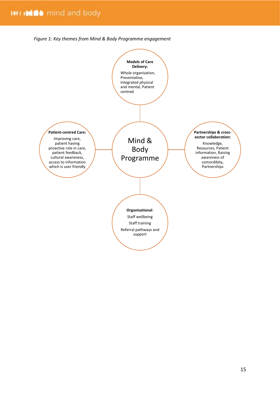*Figure 1: Key themes from Mind & Body Programme engagement*

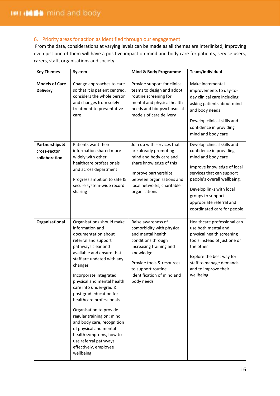# <span id="page-15-0"></span>6. Priority areas for action as identified through our engagement

From the data, considerations at varying levels can be made as all themes are interlinked, improving even just one of them will have a positive impact on mind and body care for patients, service users, carers, staff, organisations and society.

| <b>Key Themes</b>                               | System                                                                                                                                                                                                                                                                                                                                                                                                                                                                                                                                      | <b>Mind &amp; Body Programme</b>                                                                                                                                                                                                  | Team/individual                                                                                                                                                                                                                                                                    |
|-------------------------------------------------|---------------------------------------------------------------------------------------------------------------------------------------------------------------------------------------------------------------------------------------------------------------------------------------------------------------------------------------------------------------------------------------------------------------------------------------------------------------------------------------------------------------------------------------------|-----------------------------------------------------------------------------------------------------------------------------------------------------------------------------------------------------------------------------------|------------------------------------------------------------------------------------------------------------------------------------------------------------------------------------------------------------------------------------------------------------------------------------|
| <b>Models of Care</b><br><b>Delivery</b>        | Change approaches to care<br>so that it is patient centred,<br>considers the whole person<br>and changes from solely<br>treatment to preventative<br>care                                                                                                                                                                                                                                                                                                                                                                                   | Provide support for clinical<br>teams to design and adopt<br>routine screening for<br>mental and physical health<br>needs and bio-psychosocial<br>models of care delivery                                                         | Make incremental<br>improvements to day-to-<br>day clinical care including<br>asking patients about mind<br>and body needs<br>Develop clinical skills and<br>confidence in providing<br>mind and body care                                                                         |
| Partnerships &<br>cross-sector<br>collaboration | Patients want their<br>information shared more<br>widely with other<br>healthcare professionals<br>and across department<br>Progress ambition to safe &<br>secure system-wide record<br>sharing                                                                                                                                                                                                                                                                                                                                             | Join up with services that<br>are already promoting<br>mind and body care and<br>share knowledge of this<br>Improve partnerships<br>between organisations and<br>local networks, charitable<br>organisations                      | Develop clinical skills and<br>confidence in providing<br>mind and body care<br>Improve knowledge of local<br>services that can support<br>people's overall wellbeing.<br>Develop links with local<br>groups to support<br>appropriate referral and<br>coordinated care for people |
| Organisational                                  | Organisations should make<br>information and<br>documentation about<br>referral and support<br>pathways clear and<br>available and ensure that<br>staff are updated with any<br>changes<br>Incorporate integrated<br>physical and mental health<br>care into under-grad &<br>post-grad education for<br>healthcare professionals.<br>Organisation to provide<br>regular training on: mind<br>and body care, recognition<br>of physical and mental<br>health symptoms, how to<br>use referral pathways<br>effectively, employee<br>wellbeing | Raise awareness of<br>comorbidity with physical<br>and mental health<br>conditions through<br>increasing training and<br>knowledge<br>Provide tools & resources<br>to support routine<br>identification of mind and<br>body needs | Healthcare professional can<br>use both mental and<br>physical health screening<br>tools instead of just one or<br>the other<br>Explore the best way for<br>staff to manage demands<br>and to improve their<br>wellbeing                                                           |